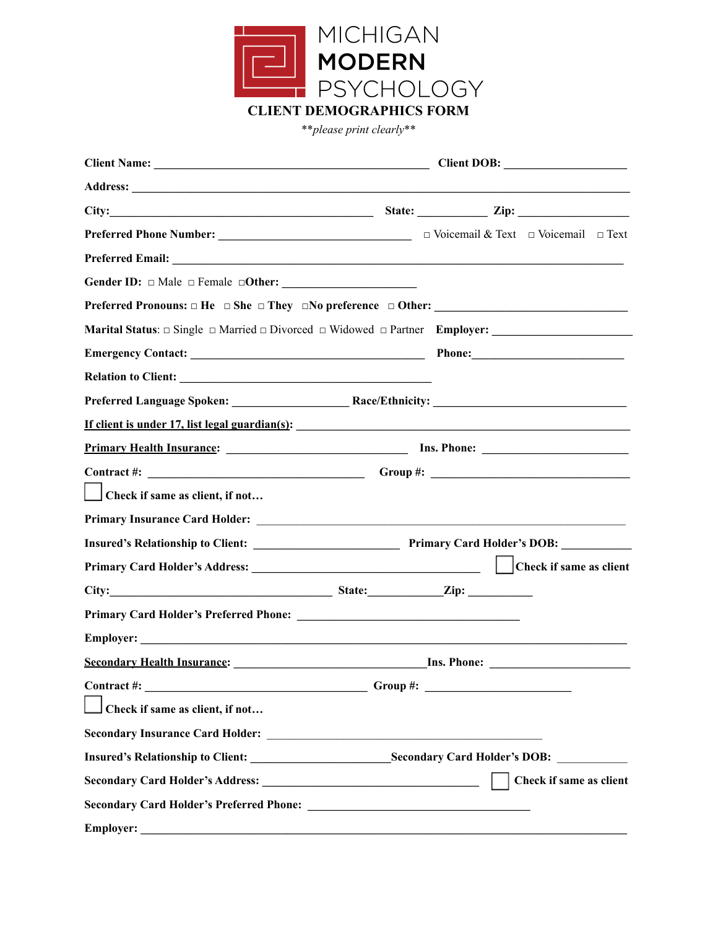

\*\**please print clearly*\*\*

| Address: <u>Address:</u> Address: Address: Address: Address: Address: Address: Address: Address: Address: Address: Address: Address: Address: Address: Address: Address: Address: Address: Address: Address: Address: Address: Addr |             |                         |
|-------------------------------------------------------------------------------------------------------------------------------------------------------------------------------------------------------------------------------------|-------------|-------------------------|
|                                                                                                                                                                                                                                     |             |                         |
|                                                                                                                                                                                                                                     |             |                         |
|                                                                                                                                                                                                                                     |             |                         |
|                                                                                                                                                                                                                                     |             |                         |
|                                                                                                                                                                                                                                     |             |                         |
| Marital Status: $\Box$ Single $\Box$ Married $\Box$ Divorced $\Box$ Widowed $\Box$ Partner Employer: __________________________                                                                                                     |             |                         |
|                                                                                                                                                                                                                                     |             |                         |
|                                                                                                                                                                                                                                     |             |                         |
|                                                                                                                                                                                                                                     |             |                         |
| <u>If client is under 17, list legal guardian(s):</u>                                                                                                                                                                               |             |                         |
| Primary Health Insurance: 1988 [18] Ins. Phone: 1988 [18] Ins. Phone: 2008. 2018. 2019. 2019. 2019. 2019. 2019                                                                                                                      |             |                         |
|                                                                                                                                                                                                                                     |             |                         |
| $\Box$ Check if same as client, if not                                                                                                                                                                                              |             |                         |
|                                                                                                                                                                                                                                     |             |                         |
|                                                                                                                                                                                                                                     |             |                         |
|                                                                                                                                                                                                                                     |             |                         |
|                                                                                                                                                                                                                                     |             |                         |
|                                                                                                                                                                                                                                     |             |                         |
|                                                                                                                                                                                                                                     |             |                         |
|                                                                                                                                                                                                                                     |             |                         |
| Contract #:<br><u> 1989 - Johann Stoff, amerikansk politiker (d. 1989)</u>                                                                                                                                                          | $Group \#:$ |                         |
| $\Box$ Check if same as client, if not                                                                                                                                                                                              |             |                         |
| Secondary Insurance Card Holder: New York 1988 and Holder Secondary Insurance Card Holder:                                                                                                                                          |             |                         |
|                                                                                                                                                                                                                                     |             |                         |
|                                                                                                                                                                                                                                     |             | Check if same as client |
|                                                                                                                                                                                                                                     |             |                         |
| <b>Employer:</b>                                                                                                                                                                                                                    |             |                         |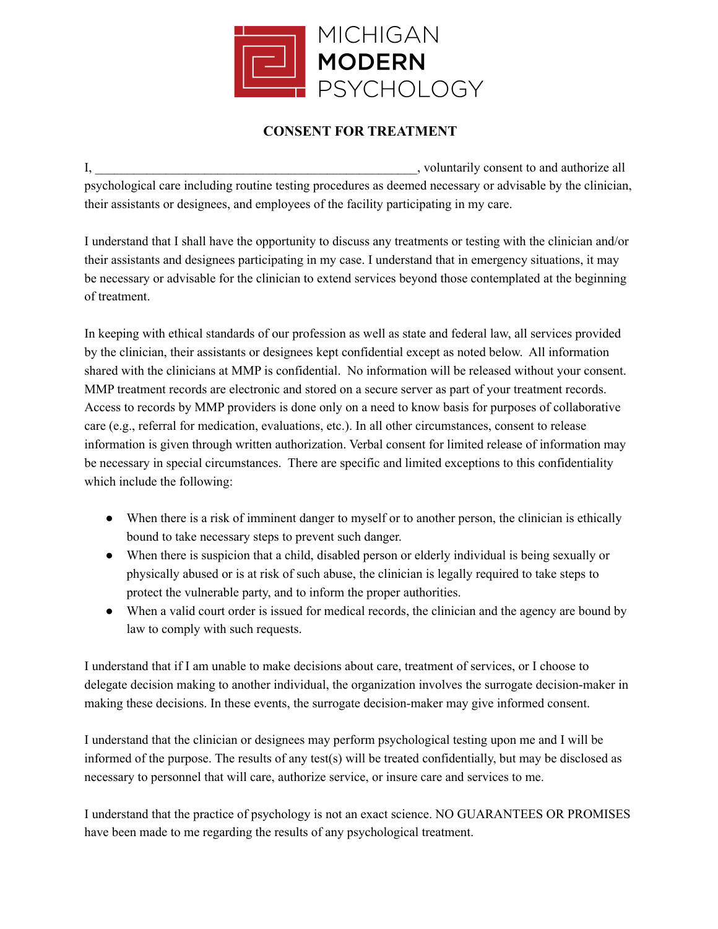

#### **CONSENT FOR TREATMENT**

I, woluntarily consent to and authorize all psychological care including routine testing procedures as deemed necessary or advisable by the clinician, their assistants or designees, and employees of the facility participating in my care.

I understand that I shall have the opportunity to discuss any treatments or testing with the clinician and/or their assistants and designees participating in my case. I understand that in emergency situations, it may be necessary or advisable for the clinician to extend services beyond those contemplated at the beginning of treatment.

In keeping with ethical standards of our profession as well as state and federal law, all services provided by the clinician, their assistants or designees kept confidential except as noted below. All information shared with the clinicians at MMP is confidential. No information will be released without your consent. MMP treatment records are electronic and stored on a secure server as part of your treatment records. Access to records by MMP providers is done only on a need to know basis for purposes of collaborative care (e.g., referral for medication, evaluations, etc.). In all other circumstances, consent to release information is given through written authorization. Verbal consent for limited release of information may be necessary in special circumstances. There are specific and limited exceptions to this confidentiality which include the following:

- When there is a risk of imminent danger to myself or to another person, the clinician is ethically bound to take necessary steps to prevent such danger.
- When there is suspicion that a child, disabled person or elderly individual is being sexually or physically abused or is at risk of such abuse, the clinician is legally required to take steps to protect the vulnerable party, and to inform the proper authorities.
- When a valid court order is issued for medical records, the clinician and the agency are bound by law to comply with such requests.

I understand that if I am unable to make decisions about care, treatment of services, or I choose to delegate decision making to another individual, the organization involves the surrogate decision-maker in making these decisions. In these events, the surrogate decision-maker may give informed consent.

I understand that the clinician or designees may perform psychological testing upon me and I will be informed of the purpose. The results of any test(s) will be treated confidentially, but may be disclosed as necessary to personnel that will care, authorize service, or insure care and services to me.

I understand that the practice of psychology is not an exact science. NO GUARANTEES OR PROMISES have been made to me regarding the results of any psychological treatment.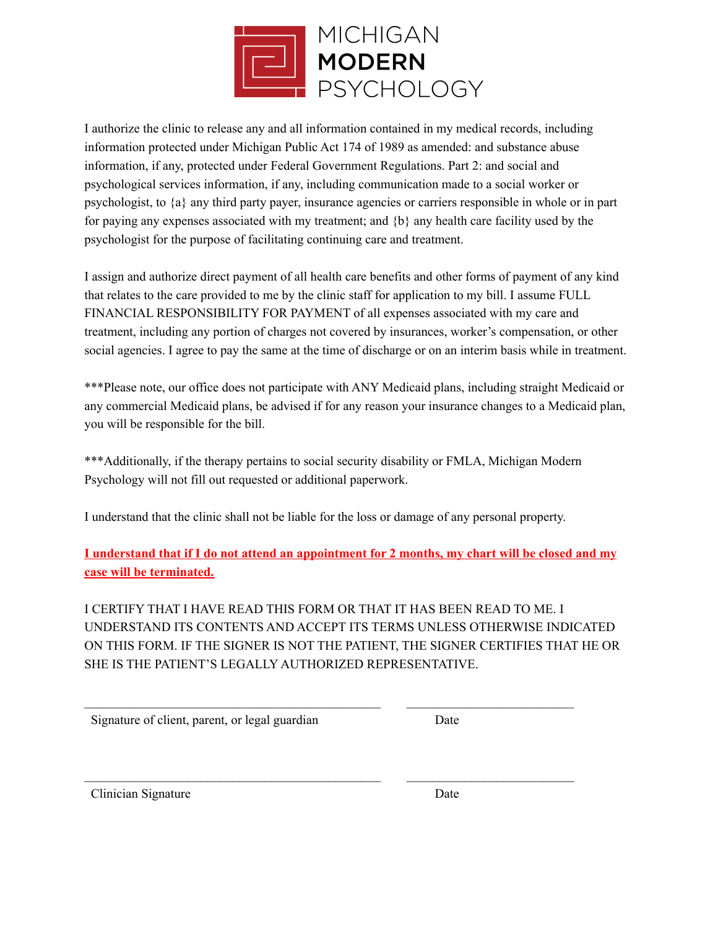

I authorize the clinic to release any and all information contained in my medical records, including information protected under Michigan Public Act 174 of 1989 as amended: and substance abuse information, if any, protected under Federal Government Regulations. Part 2: and social and psychological services information, if any, including communication made to a social worker or psychologist, to {a} any third party payer, insurance agencies or carriers responsible in whole or in part for paying any expenses associated with my treatment; and  ${b}$  any health care facility used by the psychologist for the purpose of facilitating continuing care and treatment.

I assign and authorize direct payment of all health care benefits and other forms of payment of any kind that relates to the care provided to me by the clinic staff for application to my bill. I assume FULL FINANCIAL RESPONSIBILITY FOR PAYMENT of all expenses associated with my care and treatment, including any portion of charges not covered by insurances, worker's compensation, or other social agencies. I agree to pay the same at the time of discharge or on an interim basis while in treatment.

\*\*\*Please note, our office does not participate with ANY Medicaid plans, including straight Medicaid or any commercial Medicaid plans, be advised if for any reason your insurance changes to a Medicaid plan, you will be responsible for the bill.

\*\*\*Additionally, if the therapy pertains to social security disability or FMLA, Michigan Modern Psychology will not fill out requested or additional paperwork.

I understand that the clinic shall not be liable for the loss or damage of any personal property.

I understand that if I do not attend an appointment for 2 months, my chart will be closed and my **case will be terminated.**

I CERTIFY THAT I HAVE READ THIS FORM OR THAT IT HAS BEEN READ TO ME. I UNDERSTAND ITS CONTENTS AND ACCEPT ITS TERMS UNLESS OTHERWISE INDICATED ON THIS FORM. IF THE SIGNER IS NOT THE PATIENT, THE SIGNER CERTIFIES THAT HE OR SHE IS THE PATIENT'S LEGALLY AUTHORIZED REPRESENTATIVE.

 $\mathcal{L}_\text{max} = \frac{1}{2} \sum_{i=1}^n \mathcal{L}_\text{max}(\mathbf{z}_i - \mathbf{z}_i)$ 

 $\mathcal{L}_\text{max} = \frac{1}{2} \sum_{i=1}^n \mathcal{L}_\text{max}(\mathbf{z}_i - \mathbf{z}_i)$ 

Signature of client, parent, or legal guardian Date

Clinician Signature Date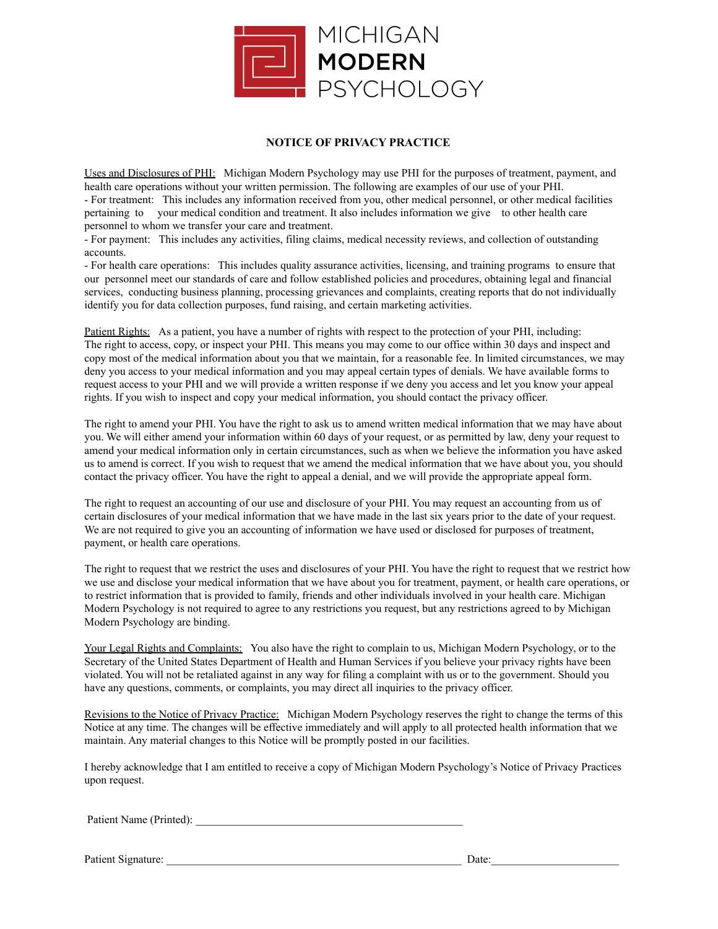

#### **NOTICE OF PRIVACY PRACTICE**

Uses and Disclosures of PHI: Michigan Modern Psychology may use PHI for the purposes of treatment, payment, and health care operations without your written permission. The following are examples of our use of your PHI. - For treatment: This includes any information received from you, other medical personnel, or other medical facilities pertaining to your medical condition and treatment. It also includes information we give to other health care personnel to whom we transfer your care and treatment.

- For payment: This includes any activities, filing claims, medical necessity reviews, and collection of outstanding accounts.

- For health care operations: This includes quality assurance activities, licensing, and training programs to ensure that our personnel meet our standards of care and follow established policies and procedures, obtaining legal and financial services, conducting business planning, processing grievances and complaints, creating reports that do not individually identify you for data collection purposes, fund raising, and certain marketing activities.

Patient Rights: As a patient, you have a number of rights with respect to the protection of your PHI, including: The right to access, copy, or inspect your PHI. This means you may come to our office within 30 days and inspect and copy most of the medical information about you that we maintain, for a reasonable fee. In limited circumstances, we may deny you access to your medical information and you may appeal certain types of denials. We have available forms to request access to your PHI and we will provide a written response if we deny you access and let you know your appeal rights. If you wish to inspect and copy your medical information, you should contact the privacy officer.

The right to amend your PHI. You have the right to ask us to amend written medical information that we may have about you. We will either amend your information within 60 days of your request, or as permitted by law, deny your request to amend your medical information only in certain circumstances, such as when we believe the information you have asked us to amend is correct. If you wish to request that we amend the medical information that we have about you, you should contact the privacy officer. You have the right to appeal a denial, and we will provide the appropriate appeal form.

The right to request an accounting of our use and disclosure of your PHI. You may request an accounting from us of certain disclosures of your medical information that we have made in the last six years prior to the date of your request. We are not required to give you an accounting of information we have used or disclosed for purposes of treatment, payment, or health care operations.

The right to request that we restrict the uses and disclosures of your PHI. You have the right to request that we restrict how we use and disclose your medical information that we have about you for treatment, payment, or health care operations, or to restrict information that is provided to family, friends and other individuals involved in your health care. Michigan Modern Psychology is not required to agree to any restrictions you request, but any restrictions agreed to by Michigan Modern Psychology are binding.

Your Legal Rights and Complaints: You also have the right to complain to us, Michigan Modern Psychology, or to the Secretary of the United States Department of Health and Human Services if you believe your privacy rights have been violated. You will not be retaliated against in any way for filing a complaint with us or to the government. Should you have any questions, comments, or complaints, you may direct all inquiries to the privacy officer.

Revisions to the Notice of Privacy Practice: Michigan Modern Psychology reserves the right to change the terms of this Notice at any time. The changes will be effective immediately and will apply to all protected health information that we maintain. Any material changes to this Notice will be promptly posted in our facilities.

I hereby acknowledge that I am entitled to receive a copy of Michigan Modern Psychology's Notice of Privacy Practices upon request.

Patient Name (Printed):

Patient Signature: \_\_\_\_\_\_\_\_\_\_\_\_\_\_\_\_\_\_\_\_\_\_\_\_\_\_\_\_\_\_\_\_\_\_\_\_\_\_\_\_\_\_\_\_\_\_\_\_\_\_\_\_\_ Date:\_\_\_\_\_\_\_\_\_\_\_\_\_\_\_\_\_\_\_\_\_\_\_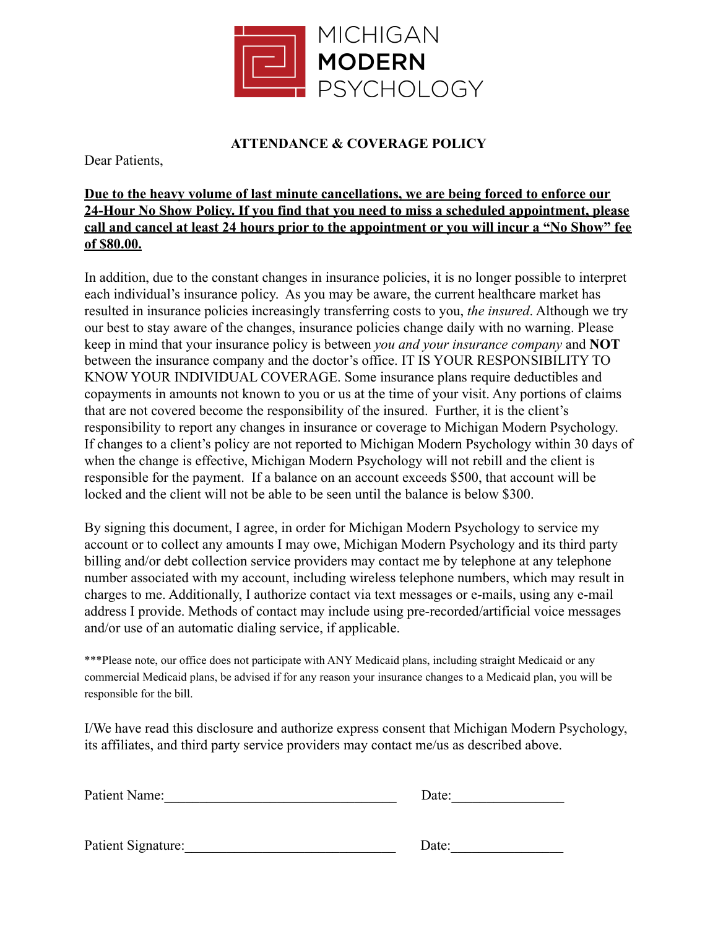

### **ATTENDANCE & COVERAGE POLICY**

Dear Patients,

#### **Due to the heavy volume of last minute cancellations, we are being forced to enforce our 24-Hour No Show Policy. If you find that you need to miss a scheduled appointment, please call and cancel at least 24 hours prior to the appointment or you will incur a "No Show" fee of \$80.00.**

In addition, due to the constant changes in insurance policies, it is no longer possible to interpret each individual's insurance policy. As you may be aware, the current healthcare market has resulted in insurance policies increasingly transferring costs to you, *the insured*. Although we try our best to stay aware of the changes, insurance policies change daily with no warning. Please keep in mind that your insurance policy is between *you and your insurance company* and **NOT** between the insurance company and the doctor's office. IT IS YOUR RESPONSIBILITY TO KNOW YOUR INDIVIDUAL COVERAGE. Some insurance plans require deductibles and copayments in amounts not known to you or us at the time of your visit. Any portions of claims that are not covered become the responsibility of the insured. Further, it is the client's responsibility to report any changes in insurance or coverage to Michigan Modern Psychology. If changes to a client's policy are not reported to Michigan Modern Psychology within 30 days of when the change is effective, Michigan Modern Psychology will not rebill and the client is responsible for the payment. If a balance on an account exceeds \$500, that account will be locked and the client will not be able to be seen until the balance is below \$300.

By signing this document, I agree, in order for Michigan Modern Psychology to service my account or to collect any amounts I may owe, Michigan Modern Psychology and its third party billing and/or debt collection service providers may contact me by telephone at any telephone number associated with my account, including wireless telephone numbers, which may result in charges to me. Additionally, I authorize contact via text messages or e-mails, using any e-mail address I provide. Methods of contact may include using pre-recorded/artificial voice messages and/or use of an automatic dialing service, if applicable.

\*\*\*Please note, our office does not participate with ANY Medicaid plans, including straight Medicaid or any commercial Medicaid plans, be advised if for any reason your insurance changes to a Medicaid plan, you will be responsible for the bill.

I/We have read this disclosure and authorize express consent that Michigan Modern Psychology, its affiliates, and third party service providers may contact me/us as described above.

| Patient Name: | Date: |
|---------------|-------|
|               |       |
|               |       |

Patient Signature:\_\_\_\_\_\_\_\_\_\_\_\_\_\_\_\_\_\_\_\_\_\_\_\_\_\_\_\_\_\_ Date:\_\_\_\_\_\_\_\_\_\_\_\_\_\_\_\_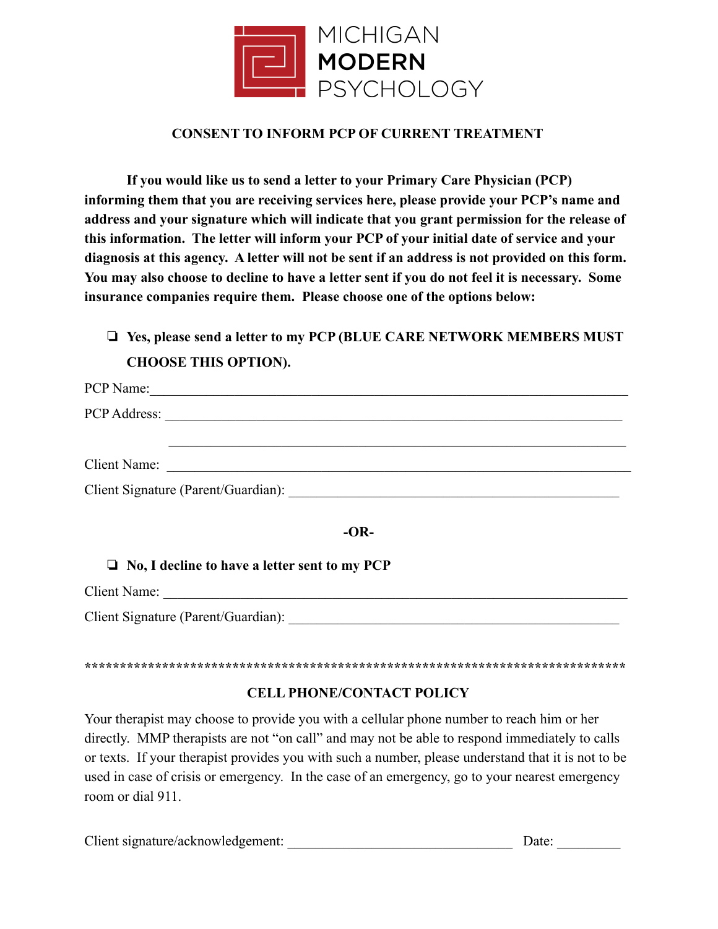

#### **CONSENT TO INFORM PCP OF CURRENT TREATMENT**

**If you would like us to send a letter to your Primary Care Physician (PCP) informing them that you are receiving services here, please provide your PCP's name and address and your signature which will indicate that you grant permission for the release of this information. The letter will inform your PCP of your initial date of service and your diagnosis at this agency. A letter will not be sent if an address is not provided on this form. You may also choose to decline to have a letter sent if you do not feel it is necessary. Some insurance companies require them. Please choose one of the options below:**

# ❏ **Yes, please send a letter to my PCP (BLUE CARE NETWORK MEMBERS MUST CHOOSE THIS OPTION).**

| PCP Name:           |                                     |
|---------------------|-------------------------------------|
|                     |                                     |
|                     |                                     |
| <b>Client Name:</b> |                                     |
|                     | Client Signature (Parent/Guardian): |

#### **-OR-**

#### ❏ **No, I decline to have a letter sent to my PCP**

Client Name: \_\_\_\_\_\_\_\_\_\_\_\_\_\_\_\_\_\_\_\_\_\_\_\_\_\_\_\_\_\_\_\_\_\_\_\_\_\_\_\_\_\_\_\_\_\_\_\_\_\_\_\_\_\_\_\_\_\_\_\_\_\_\_\_\_\_

Client Signature (Parent/Guardian):

#### **\*\*\*\*\*\*\*\*\*\*\*\*\*\*\*\*\*\*\*\*\*\*\*\*\*\*\*\*\*\*\*\*\*\*\*\*\*\*\*\*\*\*\*\*\*\*\*\*\*\*\*\*\*\*\*\*\*\*\*\*\*\*\*\*\*\*\*\*\*\*\*\*\*\*\*\*\***

#### **CELL PHONE/CONTACT POLICY**

Your therapist may choose to provide you with a cellular phone number to reach him or her directly. MMP therapists are not "on call" and may not be able to respond immediately to calls or texts. If your therapist provides you with such a number, please understand that it is not to be used in case of crisis or emergency. In the case of an emergency, go to your nearest emergency room or dial 911.

Client signature/acknowledgement: \_\_\_\_\_\_\_\_\_\_\_\_\_\_\_\_\_\_\_\_\_\_\_\_\_\_\_\_\_\_\_\_ Date: \_\_\_\_\_\_\_\_\_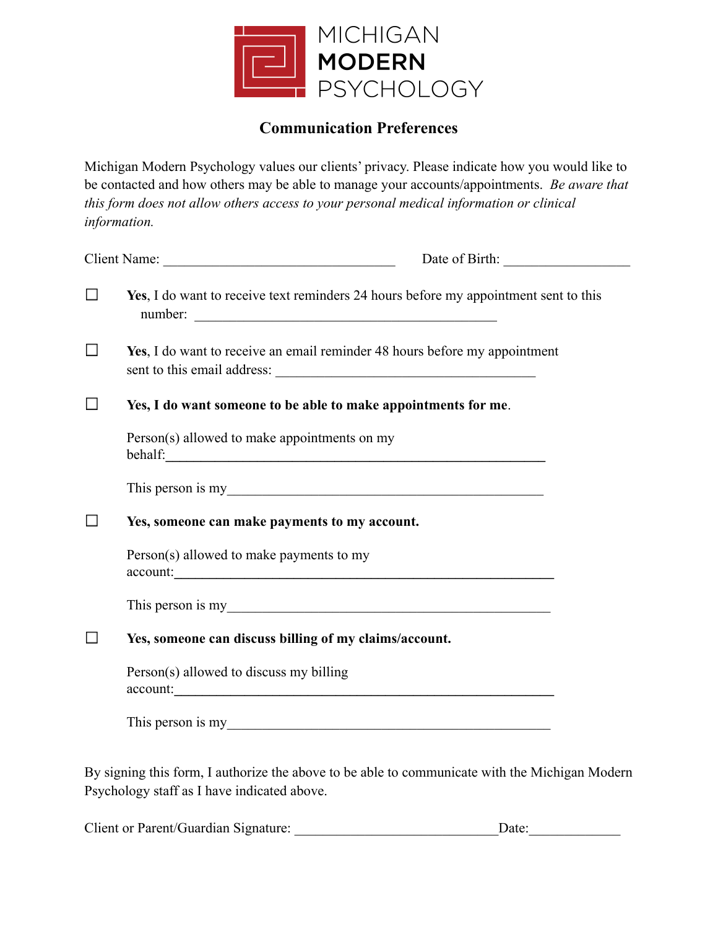

# **Communication Preferences**

Michigan Modern Psychology values our clients' privacy. Please indicate how you would like to be contacted and how others may be able to manage your accounts/appointments. *Be aware that this form does not allow others access to your personal medical information or clinical information.*

| $\Box$ | Yes, I do want to receive text reminders 24 hours before my appointment sent to this<br>number:                                               |
|--------|-----------------------------------------------------------------------------------------------------------------------------------------------|
| $\Box$ | Yes, I do want to receive an email reminder 48 hours before my appointment                                                                    |
| $\Box$ | Yes, I do want someone to be able to make appointments for me.                                                                                |
|        | Person(s) allowed to make appointments on my                                                                                                  |
|        | This person is my                                                                                                                             |
| $\Box$ | Yes, someone can make payments to my account.                                                                                                 |
|        | Person(s) allowed to make payments to my<br>account:                                                                                          |
|        | This person is my                                                                                                                             |
|        | Yes, someone can discuss billing of my claims/account.                                                                                        |
|        | Person(s) allowed to discuss my billing<br>account:                                                                                           |
|        | This person is my                                                                                                                             |
|        | By signing this form, I authorize the above to be able to communicate with the Michigan Modern<br>Psychology staff as I have indicated above. |

Client or Parent/Guardian Signature: \_\_\_\_\_\_\_\_\_\_\_\_\_\_\_\_\_\_\_\_\_\_\_\_\_\_\_\_\_Date:\_\_\_\_\_\_\_\_\_\_\_\_\_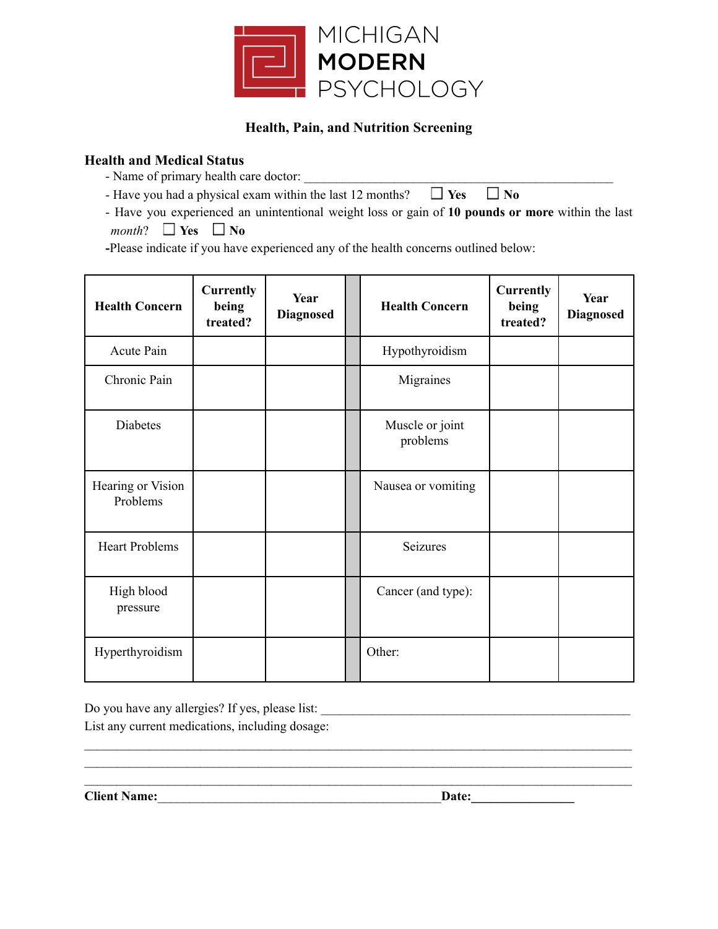

#### **Health, Pain, and Nutrition Screening**

#### **Health and Medical Status**

- Name of primary health care doctor:

- Have you had a physical exam within the last 12 months?  $\Box$  Yes  $\Box$  No

- Have you experienced an unintentional weight loss or gain of **10 pounds or more** within the last *month*?  $\Box$  **Yes**  $\Box$  **No** 

**-**Please indicate if you have experienced any of the health concerns outlined below:

| <b>Health Concern</b>         | <b>Currently</b><br>being<br>treated? | Year<br><b>Diagnosed</b> | <b>Health Concern</b>       | <b>Currently</b><br>being<br>treated? | Year<br><b>Diagnosed</b> |
|-------------------------------|---------------------------------------|--------------------------|-----------------------------|---------------------------------------|--------------------------|
| Acute Pain                    |                                       |                          | Hypothyroidism              |                                       |                          |
| Chronic Pain                  |                                       |                          | Migraines                   |                                       |                          |
| Diabetes                      |                                       |                          | Muscle or joint<br>problems |                                       |                          |
| Hearing or Vision<br>Problems |                                       |                          | Nausea or vomiting          |                                       |                          |
| <b>Heart Problems</b>         |                                       |                          | Seizures                    |                                       |                          |
| High blood<br>pressure        |                                       |                          | Cancer (and type):          |                                       |                          |
| Hyperthyroidism               |                                       |                          | Other:                      |                                       |                          |

 $\mathcal{L}_\text{max} = \mathcal{L}_\text{max} = \mathcal{L}_\text{max} = \mathcal{L}_\text{max} = \mathcal{L}_\text{max} = \mathcal{L}_\text{max} = \mathcal{L}_\text{max} = \mathcal{L}_\text{max} = \mathcal{L}_\text{max} = \mathcal{L}_\text{max} = \mathcal{L}_\text{max} = \mathcal{L}_\text{max} = \mathcal{L}_\text{max} = \mathcal{L}_\text{max} = \mathcal{L}_\text{max} = \mathcal{L}_\text{max} = \mathcal{L}_\text{max} = \mathcal{L}_\text{max} = \mathcal{$  $\mathcal{L}_\text{max} = \mathcal{L}_\text{max} = \mathcal{L}_\text{max} = \mathcal{L}_\text{max} = \mathcal{L}_\text{max} = \mathcal{L}_\text{max} = \mathcal{L}_\text{max} = \mathcal{L}_\text{max} = \mathcal{L}_\text{max} = \mathcal{L}_\text{max} = \mathcal{L}_\text{max} = \mathcal{L}_\text{max} = \mathcal{L}_\text{max} = \mathcal{L}_\text{max} = \mathcal{L}_\text{max} = \mathcal{L}_\text{max} = \mathcal{L}_\text{max} = \mathcal{L}_\text{max} = \mathcal{$  $\mathcal{L}_\text{max} = \mathcal{L}_\text{max} = \mathcal{L}_\text{max} = \mathcal{L}_\text{max} = \mathcal{L}_\text{max} = \mathcal{L}_\text{max} = \mathcal{L}_\text{max} = \mathcal{L}_\text{max} = \mathcal{L}_\text{max} = \mathcal{L}_\text{max} = \mathcal{L}_\text{max} = \mathcal{L}_\text{max} = \mathcal{L}_\text{max} = \mathcal{L}_\text{max} = \mathcal{L}_\text{max} = \mathcal{L}_\text{max} = \mathcal{L}_\text{max} = \mathcal{L}_\text{max} = \mathcal{$ 

Do you have any allergies? If yes, please list: \_\_\_\_\_\_\_\_\_\_\_\_\_\_\_\_\_\_\_\_\_\_\_\_\_\_\_\_\_\_\_\_\_\_\_\_\_\_\_\_\_\_\_\_\_\_\_\_ List any current medications, including dosage:

**Client Name:**\_\_\_\_\_\_\_\_\_\_\_\_\_\_\_\_\_\_\_\_\_\_\_\_\_\_\_\_\_\_\_\_\_\_\_\_\_\_\_\_\_\_\_\_**Date:\_\_\_\_\_\_\_\_\_\_\_\_\_\_\_\_**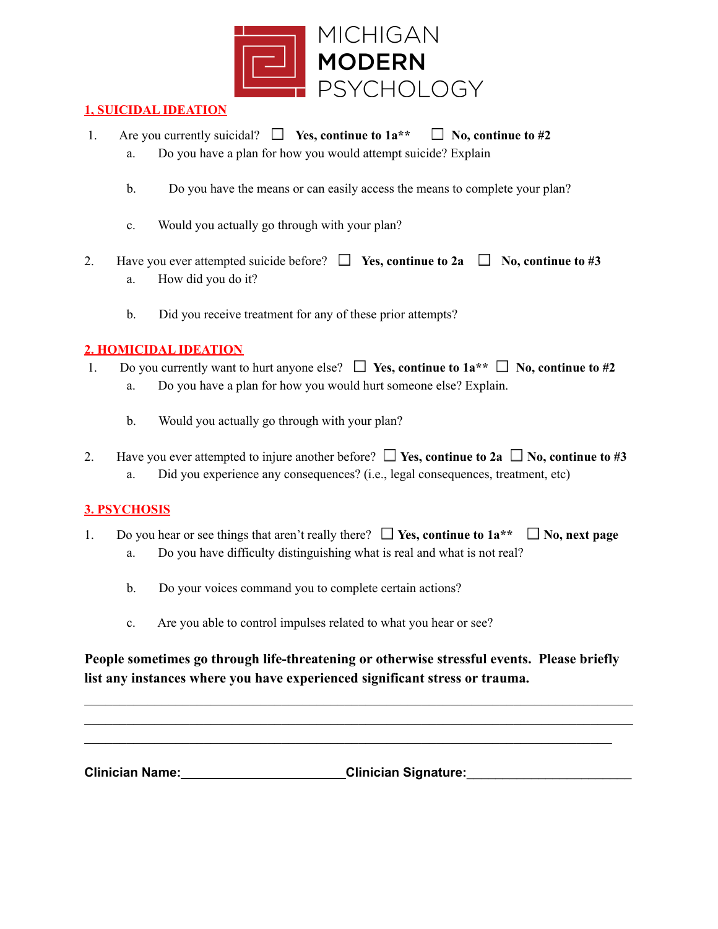

### **1, SUICIDAL IDEATION**

- 1. Are you currently suicidal?  $\Box$  Yes, continue to  $1a^{**} \Box$  No, continue to #2
	- a. Do you have a plan for how you would attempt suicide? Explain
	- b. Do you have the means or can easily access the means to complete your plan?
	- c. Would you actually go through with your plan?
- 2. Have you ever attempted suicide before?  $\Box$  Yes, continue to 2a  $\Box$  No, continue to #3 a. How did you do it?
	- b. Did you receive treatment for any of these prior attempts?

## **2. HOMICIDAL IDEATION**

- 1. Do you currently want to hurt anyone else?  $\Box$  Yes, continue to  $1a^{**} \Box$  No, continue to #2
	- a. Do you have a plan for how you would hurt someone else? Explain.
	- b. Would you actually go through with your plan?
- 2. Have you ever attempted to injure another before?  $\Box$  Yes, continue to 2a  $\Box$  No, continue to #3 a. Did you experience any consequences? (i.e., legal consequences, treatment, etc)

## **3. PSYCHOSIS**

- 1. Do you hear or see things that aren't really there?  $\Box$  Yes, continue to  $1a^{**} \Box$  No, next page a. Do you have difficulty distinguishing what is real and what is not real?
	- b. Do your voices command you to complete certain actions?
	- c. Are you able to control impulses related to what you hear or see?

# **People sometimes go through life-threatening or otherwise stressful events. Please briefly list any instances where you have experienced significant stress or trauma.**

 $\mathcal{L}_\mathcal{L} = \{ \mathcal{L}_\mathcal{L} = \{ \mathcal{L}_\mathcal{L} = \{ \mathcal{L}_\mathcal{L} = \{ \mathcal{L}_\mathcal{L} = \{ \mathcal{L}_\mathcal{L} = \{ \mathcal{L}_\mathcal{L} = \{ \mathcal{L}_\mathcal{L} = \{ \mathcal{L}_\mathcal{L} = \{ \mathcal{L}_\mathcal{L} = \{ \mathcal{L}_\mathcal{L} = \{ \mathcal{L}_\mathcal{L} = \{ \mathcal{L}_\mathcal{L} = \{ \mathcal{L}_\mathcal{L} = \{ \mathcal{L}_\mathcal{$  $\mathcal{L}_\mathcal{L} = \{ \mathcal{L}_\mathcal{L} = \{ \mathcal{L}_\mathcal{L} = \{ \mathcal{L}_\mathcal{L} = \{ \mathcal{L}_\mathcal{L} = \{ \mathcal{L}_\mathcal{L} = \{ \mathcal{L}_\mathcal{L} = \{ \mathcal{L}_\mathcal{L} = \{ \mathcal{L}_\mathcal{L} = \{ \mathcal{L}_\mathcal{L} = \{ \mathcal{L}_\mathcal{L} = \{ \mathcal{L}_\mathcal{L} = \{ \mathcal{L}_\mathcal{L} = \{ \mathcal{L}_\mathcal{L} = \{ \mathcal{L}_\mathcal{$  $\mathcal{L}_\text{max} = \mathcal{L}_\text{max} = \mathcal{L}_\text{max} = \mathcal{L}_\text{max} = \mathcal{L}_\text{max} = \mathcal{L}_\text{max} = \mathcal{L}_\text{max} = \mathcal{L}_\text{max} = \mathcal{L}_\text{max} = \mathcal{L}_\text{max} = \mathcal{L}_\text{max} = \mathcal{L}_\text{max} = \mathcal{L}_\text{max} = \mathcal{L}_\text{max} = \mathcal{L}_\text{max} = \mathcal{L}_\text{max} = \mathcal{L}_\text{max} = \mathcal{L}_\text{max} = \mathcal{$ 

**Clinician Name: Clinician Signature:**\_\_\_\_\_\_\_\_\_\_\_\_\_\_\_\_\_\_\_\_\_\_\_